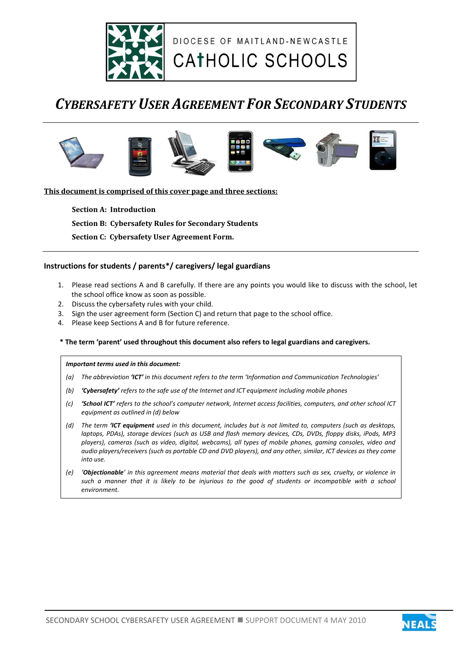

## *CYBERSAFETY USER AGREEMENT FOR SECONDARY STUDENTS*



**This document is comprised of this cover page and three sections:**

**Section A: Introduction Section B: Cybersafety Rules for Secondary Students Section C: Cybersafety User Agreement Form.** 

#### **Instructions for students / parents\*/ caregivers/ legal guardians**

- 1. Please read sections A and B carefully. If there are any points you would like to discuss with the school, let the school office know as soon as possible.
- 2. Discuss the cybersafety rules with your child.
- 3. Sign the user agreement form (Section C) and return that page to the school office.
- 4. Please keep Sections A and B for future reference.

#### **\* The term 'parent' used throughout this document also refers to legal guardians and caregivers.**

#### *Important terms used in this document:*

- *(a) The abbreviation 'ICT' in this document refers to the term 'Information and Communication Technologies'*
- *(b) 'Cybersafety' refers to the safe use of the Internet and ICT equipment including mobile phones*
- *(c) 'School ICT' refers to the school's computer network, Internet access facilities, computers, and other school ICT equipment as outlined in (d) below*
- *(d) The term 'ICT equipment used in this document, includes but is not limited to, computers (such as desktops, laptops, PDAs), storage devices (such as USB and flash memory devices, CDs, DVDs, floppy disks, iPods, MP3 players), cameras (such as video, digital, webcams), all types of mobile phones, gaming consoles, video and audio players/receivers (such as portable CD and DVD players), and any other, similar, ICT devices as they come into use.*
- *(e) 'Objectionable' in this agreement means material that deals with matters such as sex, cruelty, or violence in such a manner that it is likely to be injurious to the good of students or incompatible with a school environment.*

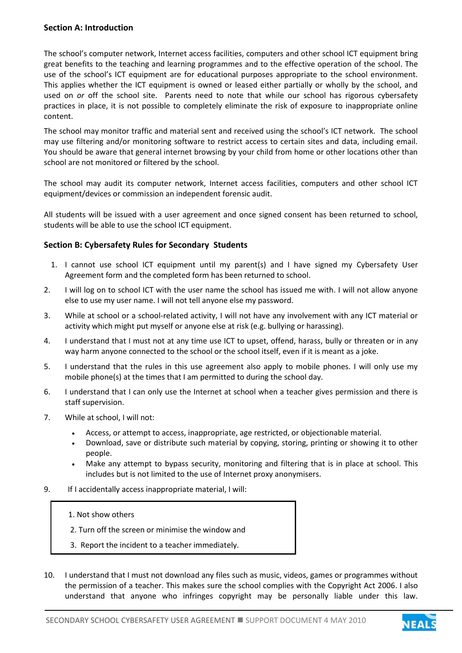## **Section A: Introduction**

The school's computer network, Internet access facilities, computers and other school ICT equipment bring great benefits to the teaching and learning programmes and to the effective operation of the school. The use of the school's ICT equipment are for educational purposes appropriate to the school environment. This applies whether the ICT equipment is owned or leased either partially or wholly by the school, and used on *or* off the school site. Parents need to note that while our school has rigorous cybersafety practices in place, it is not possible to completely eliminate the risk of exposure to inappropriate online content.

The school may monitor traffic and material sent and received using the school's ICT network. The school may use filtering and/or monitoring software to restrict access to certain sites and data, including email. You should be aware that general internet browsing by your child from home or other locations other than school are not monitored or filtered by the school.

The school may audit its computer network, Internet access facilities, computers and other school ICT equipment/devices or commission an independent forensic audit.

All students will be issued with a user agreement and once signed consent has been returned to school, students will be able to use the school ICT equipment.

#### **Section B: Cybersafety Rules for Secondary Students**

- 1. I cannot use school ICT equipment until my parent(s) and I have signed my Cybersafety User Agreement form and the completed form has been returned to school.
- 2. I will log on to school ICT with the user name the school has issued me with. I will not allow anyone else to use my user name. I will not tell anyone else my password.
- 3. While at school or a school-related activity, I will not have any involvement with any ICT material or activity which might put myself or anyone else at risk (e.g. bullying or harassing).
- 4. I understand that I must not at any time use ICT to upset, offend, harass, bully or threaten or in any way harm anyone connected to the school or the school itself, even if it is meant as a joke.
- 5. I understand that the rules in this use agreement also apply to mobile phones. I will only use my mobile phone(s) at the times that I am permitted to during the school day.
- 6. I understand that I can only use the Internet at school when a teacher gives permission and there is staff supervision.
- 7. While at school, I will not:
	- Access, or attempt to access, inappropriate, age restricted, or objectionable material.
	- Download, save or distribute such material by copying, storing, printing or showing it to other people.
	- Make any attempt to bypass security, monitoring and filtering that is in place at school. This includes but is not limited to the use of Internet proxy anonymisers.
- 9. If I accidentally access inappropriate material, I will:
	- 1. Not show others

ſ

- 2. Turn off the screen or minimise the window and
- 3. Report the incident to a teacher immediately.
- 10. I understand that I must not download any files such as music, videos, games or programmes without the permission of a teacher. This makes sure the school complies with the Copyright Act 2006. I also understand that anyone who infringes copyright may be personally liable under this law.

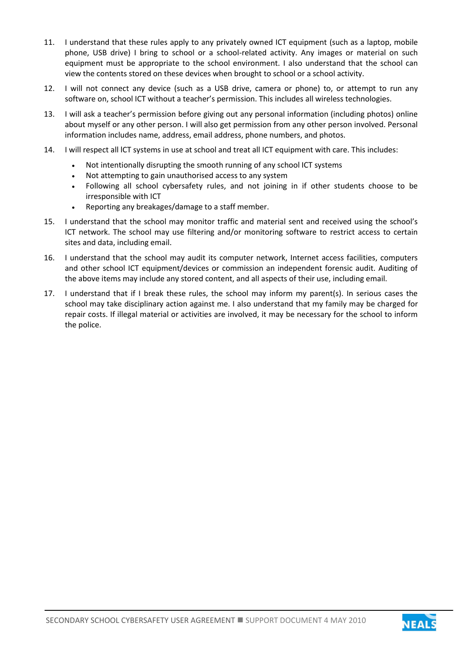- 11. I understand that these rules apply to any privately owned ICT equipment (such as a laptop, mobile phone, USB drive) I bring to school or a school-related activity. Any images or material on such equipment must be appropriate to the school environment. I also understand that the school can view the contents stored on these devices when brought to school or a school activity.
- 12. I will not connect any device (such as a USB drive, camera or phone) to, or attempt to run any software on, school ICT without a teacher's permission. This includes all wireless technologies.
- 13. I will ask a teacher's permission before giving out any personal information (including photos) online about myself or any other person. I will also get permission from any other person involved. Personal information includes name, address, email address, phone numbers, and photos.
- 14. I will respect all lCT systems in use at school and treat all ICT equipment with care. This includes:
	- Not intentionally disrupting the smooth running of any school ICT systems
	- Not attempting to gain unauthorised access to any system
	- Following all school cybersafety rules, and not joining in if other students choose to be irresponsible with ICT
	- Reporting any breakages/damage to a staff member.
- 15. I understand that the school may monitor traffic and material sent and received using the school's ICT network. The school may use filtering and/or monitoring software to restrict access to certain sites and data, including email.
- 16. I understand that the school may audit its computer network, Internet access facilities, computers and other school ICT equipment/devices or commission an independent forensic audit. Auditing of the above items may include any stored content, and all aspects of their use, including email.
- 17. I understand that if I break these rules, the school may inform my parent(s). In serious cases the school may take disciplinary action against me. I also understand that my family may be charged for repair costs. If illegal material or activities are involved, it may be necessary for the school to inform the police.